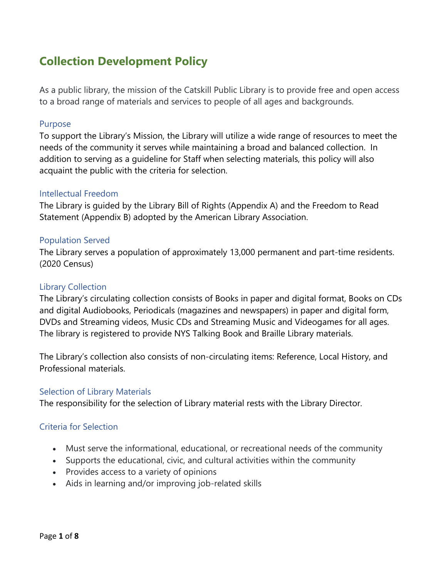# **Collection Development Policy**

As a public library, the mission of the Catskill Public Library is to provide free and open access to a broad range of materials and services to people of all ages and backgrounds.

#### Purpose

To support the Library's Mission, the Library will utilize a wide range of resources to meet the needs of the community it serves while maintaining a broad and balanced collection. In addition to serving as a guideline for Staff when selecting materials, this policy will also acquaint the public with the criteria for selection.

#### Intellectual Freedom

The Library is guided by the Library Bill of Rights (Appendix A) and the Freedom to Read Statement (Appendix B) adopted by the American Library Association.

#### Population Served

The Library serves a population of approximately 13,000 permanent and part-time residents. (2020 Census)

## Library Collection

The Library's circulating collection consists of Books in paper and digital format, Books on CDs and digital Audiobooks, Periodicals (magazines and newspapers) in paper and digital form, DVDs and Streaming videos, Music CDs and Streaming Music and Videogames for all ages. The library is registered to provide NYS Talking Book and Braille Library materials.

The Library's collection also consists of non-circulating items: Reference, Local History, and Professional materials.

#### Selection of Library Materials

The responsibility for the selection of Library material rests with the Library Director.

# Criteria for Selection

- Must serve the informational, educational, or recreational needs of the community
- Supports the educational, civic, and cultural activities within the community
- Provides access to a variety of opinions
- Aids in learning and/or improving job-related skills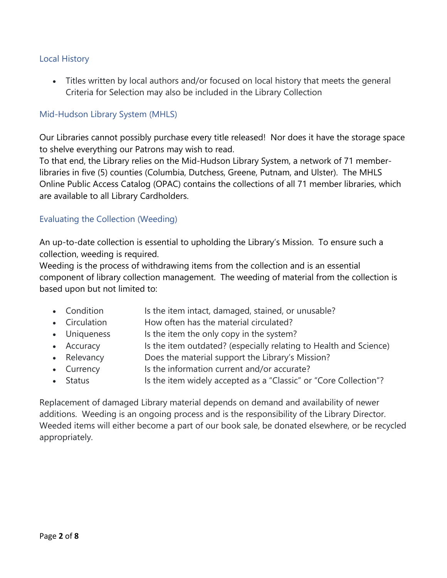# Local History

 Titles written by local authors and/or focused on local history that meets the general Criteria for Selection may also be included in the Library Collection

## Mid-Hudson Library System (MHLS)

Our Libraries cannot possibly purchase every title released! Nor does it have the storage space to shelve everything our Patrons may wish to read.

To that end, the Library relies on the Mid-Hudson Library System, a network of 71 memberlibraries in five (5) counties (Columbia, Dutchess, Greene, Putnam, and Ulster). The MHLS Online Public Access Catalog (OPAC) contains the collections of all 71 member libraries, which are available to all Library Cardholders.

#### Evaluating the Collection (Weeding)

An up-to-date collection is essential to upholding the Library's Mission. To ensure such a collection, weeding is required.

Weeding is the process of withdrawing items from the collection and is an essential component of library collection management. The weeding of material from the collection is based upon but not limited to:

- Condition Is the item intact, damaged, stained, or unusable?
- Circulation How often has the material circulated?
- Uniqueness Is the item the only copy in the system?
- Accuracy Is the item outdated? (especially relating to Health and Science)
- Relevancy Does the material support the Library's Mission?
- Currency Is the information current and/or accurate?
- Status Is the item widely accepted as a "Classic" or "Core Collection"?

Replacement of damaged Library material depends on demand and availability of newer additions. Weeding is an ongoing process and is the responsibility of the Library Director. Weeded items will either become a part of our book sale, be donated elsewhere, or be recycled appropriately.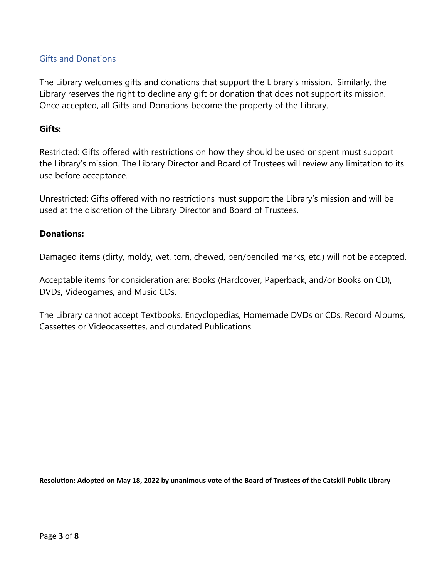# Gifts and Donations

The Library welcomes gifts and donations that support the Library's mission. Similarly, the Library reserves the right to decline any gift or donation that does not support its mission. Once accepted, all Gifts and Donations become the property of the Library.

#### **Gifts:**

Restricted: Gifts offered with restrictions on how they should be used or spent must support the Library's mission. The Library Director and Board of Trustees will review any limitation to its use before acceptance.

Unrestricted: Gifts offered with no restrictions must support the Library's mission and will be used at the discretion of the Library Director and Board of Trustees.

#### **Donations:**

Damaged items (dirty, moldy, wet, torn, chewed, pen/penciled marks, etc.) will not be accepted.

Acceptable items for consideration are: Books (Hardcover, Paperback, and/or Books on CD), DVDs, Videogames, and Music CDs.

The Library cannot accept Textbooks, Encyclopedias, Homemade DVDs or CDs, Record Albums, Cassettes or Videocassettes, and outdated Publications.

**Resolution: Adopted on May 18, 2022 by unanimous vote of the Board of Trustees of the Catskill Public Library**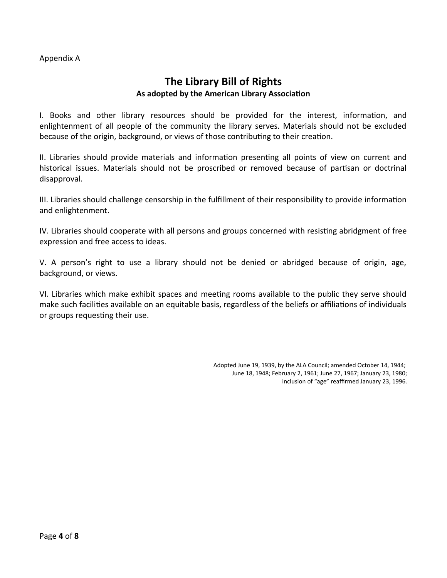# **The Library Bill of Rights As adopted by the American Library Association**

I. Books and other library resources should be provided for the interest, information, and enlightenment of all people of the community the library serves. Materials should not be excluded because of the origin, background, or views of those contributing to their creation.

II. Libraries should provide materials and information presenting all points of view on current and historical issues. Materials should not be proscribed or removed because of partisan or doctrinal disapproval.

III. Libraries should challenge censorship in the fulfillment of their responsibility to provide information and enlightenment.

IV. Libraries should cooperate with all persons and groups concerned with resisting abridgment of free expression and free access to ideas.

V. A person's right to use a library should not be denied or abridged because of origin, age, background, or views.

VI. Libraries which make exhibit spaces and meeting rooms available to the public they serve should make such facilities available on an equitable basis, regardless of the beliefs or affiliations of individuals or groups requesting their use.

> Adopted June 19, 1939, by the ALA Council; amended October 14, 1944; June 18, 1948; February 2, 1961; June 27, 1967; January 23, 1980; inclusion of "age" reaffirmed January 23, 1996.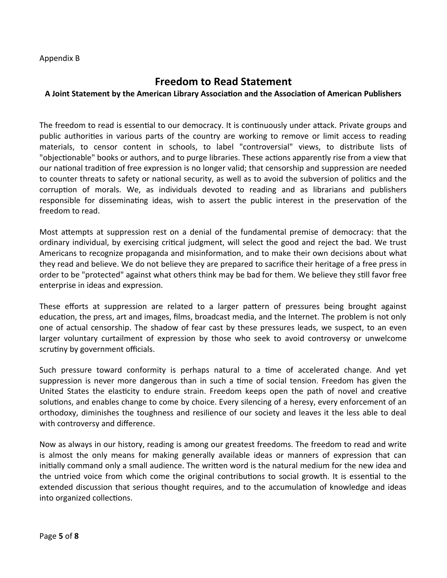Appendix B

# **Freedom to Read Statement**

#### **A Joint Statement by the American Library Association and the Association of American Publishers**

The freedom to read is essential to our democracy. It is continuously under attack. Private groups and public authorities in various parts of the country are working to remove or limit access to reading materials, to censor content in schools, to label "controversial" views, to distribute lists of "objectionable" books or authors, and to purge libraries. These actions apparently rise from a view that our national tradition of free expression is no longer valid; that censorship and suppression are needed to counter threats to safety or national security, as well as to avoid the subversion of politics and the corruption of morals. We, as individuals devoted to reading and as librarians and publishers responsible for disseminating ideas, wish to assert the public interest in the preservation of the freedom to read.

Most attempts at suppression rest on a denial of the fundamental premise of democracy: that the ordinary individual, by exercising critical judgment, will select the good and reject the bad. We trust Americans to recognize propaganda and misinformation, and to make their own decisions about what they read and believe. We do not believe they are prepared to sacrifice their heritage of a free press in order to be "protected" against what others think may be bad for them. We believe they still favor free enterprise in ideas and expression.

These efforts at suppression are related to a larger pattern of pressures being brought against education, the press, art and images, films, broadcast media, and the Internet. The problem is not only one of actual censorship. The shadow of fear cast by these pressures leads, we suspect, to an even larger voluntary curtailment of expression by those who seek to avoid controversy or unwelcome scrutiny by government officials.

Such pressure toward conformity is perhaps natural to a time of accelerated change. And yet suppression is never more dangerous than in such a time of social tension. Freedom has given the United States the elasticity to endure strain. Freedom keeps open the path of novel and creative solutions, and enables change to come by choice. Every silencing of a heresy, every enforcement of an orthodoxy, diminishes the toughness and resilience of our society and leaves it the less able to deal with controversy and difference.

Now as always in our history, reading is among our greatest freedoms. The freedom to read and write is almost the only means for making generally available ideas or manners of expression that can initially command only a small audience. The written word is the natural medium for the new idea and the untried voice from which come the original contributions to social growth. It is essential to the extended discussion that serious thought requires, and to the accumulation of knowledge and ideas into organized collections.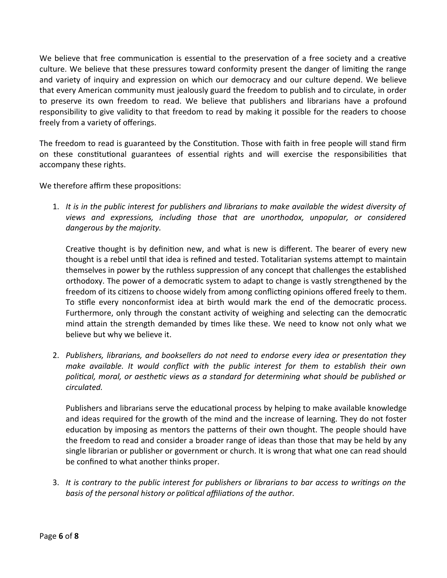We believe that free communication is essential to the preservation of a free society and a creative culture. We believe that these pressures toward conformity present the danger of limiting the range and variety of inquiry and expression on which our democracy and our culture depend. We believe that every American community must jealously guard the freedom to publish and to circulate, in order to preserve its own freedom to read. We believe that publishers and librarians have a profound responsibility to give validity to that freedom to read by making it possible for the readers to choose freely from a variety of offerings.

The freedom to read is guaranteed by the Constitution. Those with faith in free people will stand firm on these constitutional guarantees of essential rights and will exercise the responsibilities that accompany these rights.

We therefore affirm these propositions:

1. *It is in the public interest for publishers and librarians to make available the widest diversity of views and expressions, including those that are unorthodox, unpopular, or considered dangerous by the majority.*

Creative thought is by definition new, and what is new is different. The bearer of every new thought is a rebel until that idea is refined and tested. Totalitarian systems attempt to maintain themselves in power by the ruthless suppression of any concept that challenges the established orthodoxy. The power of a democratic system to adapt to change is vastly strengthened by the freedom of its citizens to choose widely from among conflicting opinions offered freely to them. To stifle every nonconformist idea at birth would mark the end of the democratic process. Furthermore, only through the constant activity of weighing and selecting can the democratic mind attain the strength demanded by times like these. We need to know not only what we believe but why we believe it.

2. *Publishers, librarians, and booksellers do not need to endorse every idea or presentation they make available. It would conflict with the public interest for them to establish their own political, moral, or aesthetic views as a standard for determining what should be published or circulated.*

Publishers and librarians serve the educational process by helping to make available knowledge and ideas required for the growth of the mind and the increase of learning. They do not foster education by imposing as mentors the patterns of their own thought. The people should have the freedom to read and consider a broader range of ideas than those that may be held by any single librarian or publisher or government or church. It is wrong that what one can read should be confined to what another thinks proper.

3. *It is contrary to the public interest for publishers or librarians to bar access to writings on the basis of the personal history or political affiliations of the author.*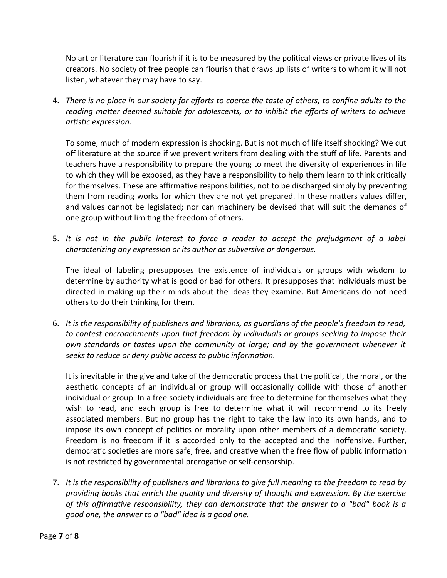No art or literature can flourish if it is to be measured by the political views or private lives of its creators. No society of free people can flourish that draws up lists of writers to whom it will not listen, whatever they may have to say.

4. *There is no place in our society for efforts to coerce the taste of others, to confine adults to the reading matter deemed suitable for adolescents, or to inhibit the efforts of writers to achieve artistic expression.*

To some, much of modern expression is shocking. But is not much of life itself shocking? We cut off literature at the source if we prevent writers from dealing with the stuff of life. Parents and teachers have a responsibility to prepare the young to meet the diversity of experiences in life to which they will be exposed, as they have a responsibility to help them learn to think critically for themselves. These are affirmative responsibilities, not to be discharged simply by preventing them from reading works for which they are not yet prepared. In these matters values differ, and values cannot be legislated; nor can machinery be devised that will suit the demands of one group without limiting the freedom of others.

5. *It is not in the public interest to force a reader to accept the prejudgment of a label characterizing any expression or its author as subversive or dangerous.*

The ideal of labeling presupposes the existence of individuals or groups with wisdom to determine by authority what is good or bad for others. It presupposes that individuals must be directed in making up their minds about the ideas they examine. But Americans do not need others to do their thinking for them.

6. *It is the responsibility of publishers and librarians, as guardians of the people's freedom to read, to contest encroachments upon that freedom by individuals or groups seeking to impose their own standards or tastes upon the community at large; and by the government whenever it seeks to reduce or deny public access to public information.*

It is inevitable in the give and take of the democratic process that the political, the moral, or the aesthetic concepts of an individual or group will occasionally collide with those of another individual or group. In a free society individuals are free to determine for themselves what they wish to read, and each group is free to determine what it will recommend to its freely associated members. But no group has the right to take the law into its own hands, and to impose its own concept of politics or morality upon other members of a democratic society. Freedom is no freedom if it is accorded only to the accepted and the inoffensive. Further, democratic societies are more safe, free, and creative when the free flow of public information is not restricted by governmental prerogative or self-censorship.

7. *It is the responsibility of publishers and librarians to give full meaning to the freedom to read by providing books that enrich the quality and diversity of thought and expression. By the exercise of this affirmative responsibility, they can demonstrate that the answer to a "bad" book is a good one, the answer to a "bad" idea is a good one.*